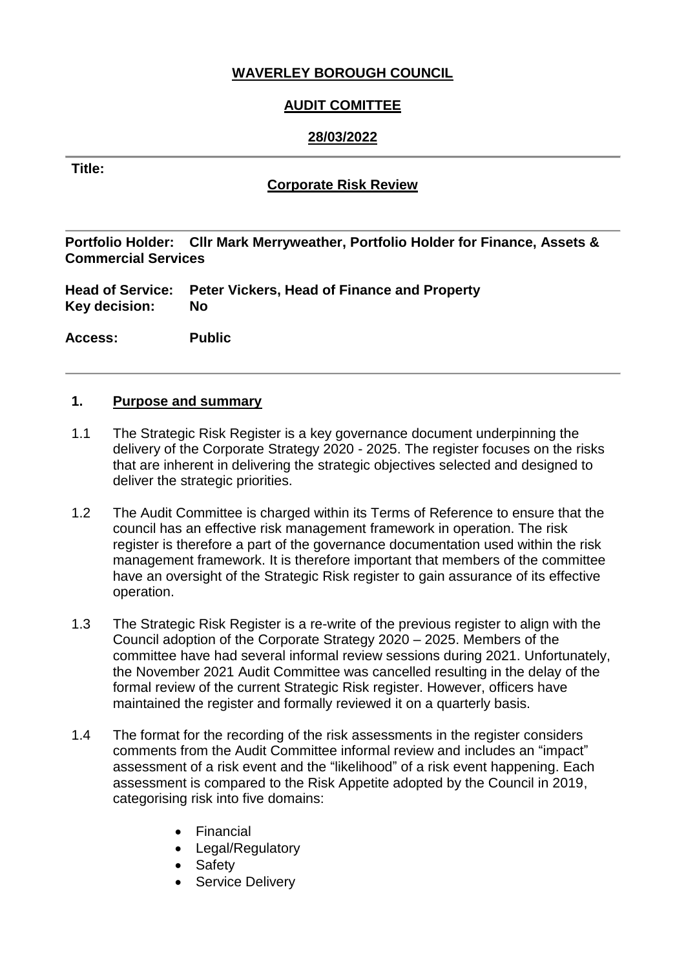# **WAVERLEY BOROUGH COUNCIL**

# **AUDIT COMITTEE**

# **28/03/2022**

#### **Title:**

#### **Corporate Risk Review**

**Portfolio Holder: Cllr Mark Merryweather, Portfolio Holder for Finance, Assets & Commercial Services**

**Head of Service: Peter Vickers, Head of Finance and Property Key decision: No**

**Access: Public**

#### **1. Purpose and summary**

- 1.1 The Strategic Risk Register is a key governance document underpinning the delivery of the Corporate Strategy 2020 - 2025. The register focuses on the risks that are inherent in delivering the strategic objectives selected and designed to deliver the strategic priorities.
- 1.2 The Audit Committee is charged within its Terms of Reference to ensure that the council has an effective risk management framework in operation. The risk register is therefore a part of the governance documentation used within the risk management framework. It is therefore important that members of the committee have an oversight of the Strategic Risk register to gain assurance of its effective operation.
- 1.3 The Strategic Risk Register is a re-write of the previous register to align with the Council adoption of the Corporate Strategy 2020 – 2025. Members of the committee have had several informal review sessions during 2021. Unfortunately, the November 2021 Audit Committee was cancelled resulting in the delay of the formal review of the current Strategic Risk register. However, officers have maintained the register and formally reviewed it on a quarterly basis.
- 1.4 The format for the recording of the risk assessments in the register considers comments from the Audit Committee informal review and includes an "impact" assessment of a risk event and the "likelihood" of a risk event happening. Each assessment is compared to the Risk Appetite adopted by the Council in 2019, categorising risk into five domains:
	- Financial
	- Legal/Regulatory
	- Safety
	- Service Delivery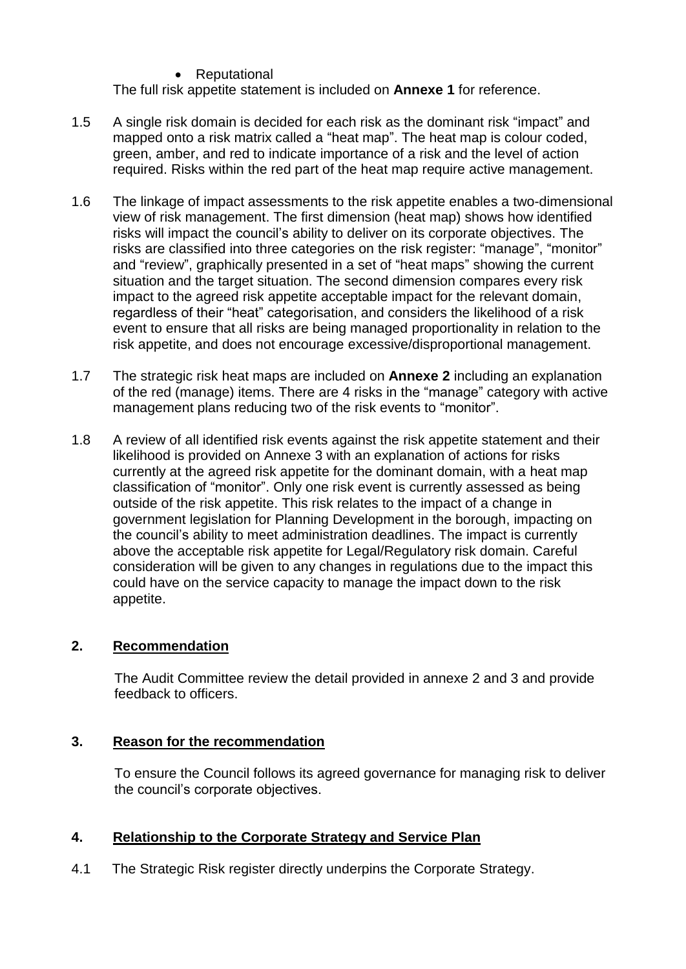• Reputational

The full risk appetite statement is included on **Annexe 1** for reference.

- 1.5 A single risk domain is decided for each risk as the dominant risk "impact" and mapped onto a risk matrix called a "heat map". The heat map is colour coded, green, amber, and red to indicate importance of a risk and the level of action required. Risks within the red part of the heat map require active management.
- 1.6 The linkage of impact assessments to the risk appetite enables a two-dimensional view of risk management. The first dimension (heat map) shows how identified risks will impact the council's ability to deliver on its corporate objectives. The risks are classified into three categories on the risk register: "manage", "monitor" and "review", graphically presented in a set of "heat maps" showing the current situation and the target situation. The second dimension compares every risk impact to the agreed risk appetite acceptable impact for the relevant domain, regardless of their "heat" categorisation, and considers the likelihood of a risk event to ensure that all risks are being managed proportionality in relation to the risk appetite, and does not encourage excessive/disproportional management.
- 1.7 The strategic risk heat maps are included on **Annexe 2** including an explanation of the red (manage) items. There are 4 risks in the "manage" category with active management plans reducing two of the risk events to "monitor".
- 1.8 A review of all identified risk events against the risk appetite statement and their likelihood is provided on Annexe 3 with an explanation of actions for risks currently at the agreed risk appetite for the dominant domain, with a heat map classification of "monitor". Only one risk event is currently assessed as being outside of the risk appetite. This risk relates to the impact of a change in government legislation for Planning Development in the borough, impacting on the council's ability to meet administration deadlines. The impact is currently above the acceptable risk appetite for Legal/Regulatory risk domain. Careful consideration will be given to any changes in regulations due to the impact this could have on the service capacity to manage the impact down to the risk appetite.

# **2. Recommendation**

The Audit Committee review the detail provided in annexe 2 and 3 and provide feedback to officers.

# **3. Reason for the recommendation**

To ensure the Council follows its agreed governance for managing risk to deliver the council's corporate objectives.

# **4. Relationship to the Corporate Strategy and Service Plan**

4.1 The Strategic Risk register directly underpins the Corporate Strategy.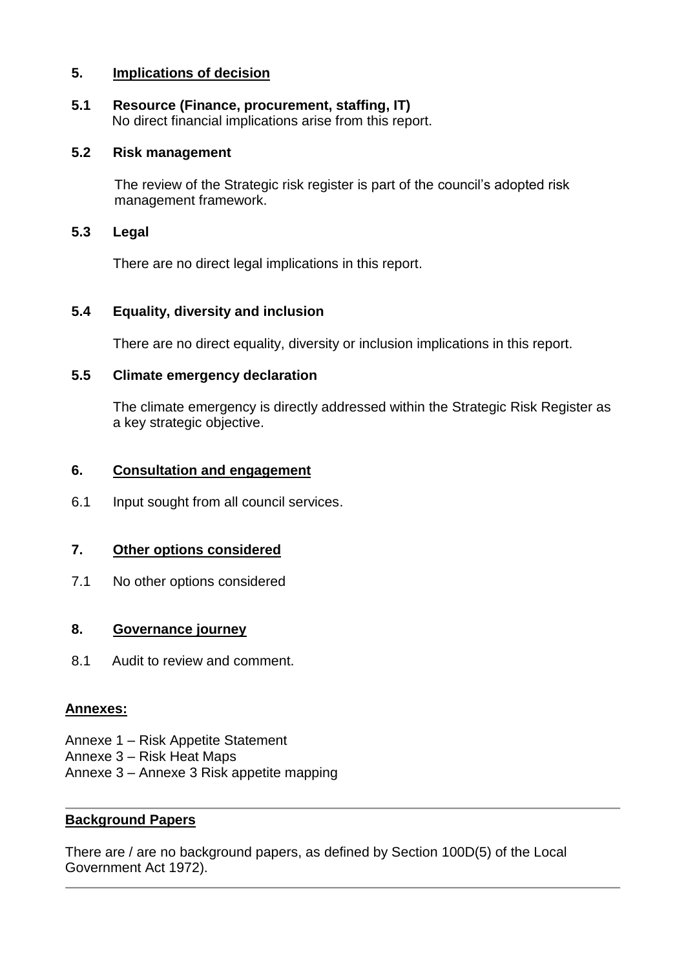#### **5. Implications of decision**

# **5.1 Resource (Finance, procurement, staffing, IT)**

No direct financial implications arise from this report.

#### **5.2 Risk management**

The review of the Strategic risk register is part of the council's adopted risk management framework.

#### **5.3 Legal**

There are no direct legal implications in this report.

#### **5.4 Equality, diversity and inclusion**

There are no direct equality, diversity or inclusion implications in this report.

#### **5.5 Climate emergency declaration**

The climate emergency is directly addressed within the Strategic Risk Register as a key strategic objective.

#### **6. Consultation and engagement**

6.1 Input sought from all council services.

# **7. Other options considered**

7.1 No other options considered

#### **8. Governance journey**

8.1 Audit to review and comment.

#### **Annexes:**

- Annexe 1 Risk Appetite Statement
- Annexe 3 Risk Heat Maps
- Annexe 3 Annexe 3 Risk appetite mapping

#### **Background Papers**

There are / are no background papers, as defined by Section 100D(5) of the Local Government Act 1972).